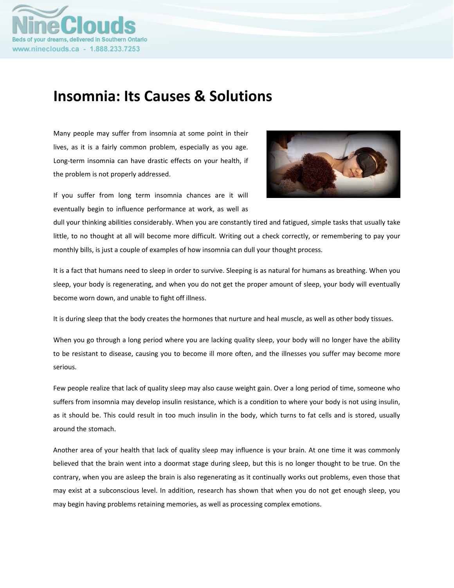

# **Insomnia: Its Causes & Solutions**

Many people may suffer from insomnia at some point in their lives, as it is a fairly common problem, especially as you age. Long‐term insomnia can have drastic effects on your health, if the problem is not properly addressed.



If you suffer from long term insomnia chances are it will eventually begin to influence performance at work, as well as

dull your thinking abilities considerably. When you are constantly tired and fatigued, simple tasks that usually take little, to no thought at all will become more difficult. Writing out a check correctly, or remembering to pay your monthly bills, is just a couple of examples of how insomnia can dull your thought process.

It is a fact that humans need to sleep in order to survive. Sleeping is as natural for humans as breathing. When you sleep, your body is regenerating, and when you do not get the proper amount of sleep, your body will eventually become worn down, and unable to fight off illness.

It is during sleep that the body creates the hormones that nurture and heal muscle, as well as other body tissues.

When you go through a long period where you are lacking quality sleep, your body will no longer have the ability to be resistant to disease, causing you to become ill more often, and the illnesses you suffer may become more serious.

Few people realize that lack of quality sleep may also cause weight gain. Over a long period of time, someone who suffers from insomnia may develop insulin resistance, which is a condition to where your body is not using insulin, as it should be. This could result in too much insulin in the body, which turns to fat cells and is stored, usually around the stomach.

Another area of your health that lack of quality sleep may influence is your brain. At one time it was commonly believed that the brain went into a doormat stage during sleep, but this is no longer thought to be true. On the contrary, when you are asleep the brain is also regenerating as it continually works out problems, even those that may exist at a subconscious level. In addition, research has shown that when you do not get enough sleep, you may begin having problems retaining memories, as well as processing complex emotions.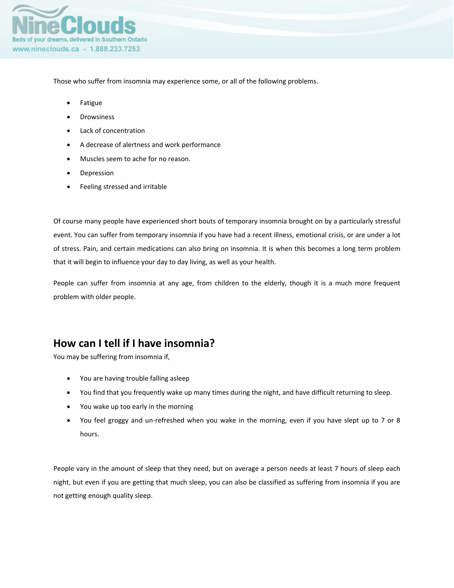

Those who suffer from insomnia may experience some, or all of the following problems.

- Fatigue
- Drowsiness
- Lack of concentration
- A decrease of alertness and work performance
- Muscles seem to ache for no reason.
- Depression
- Feeling stressed and irritable

Of course many people have experienced short bouts of temporary insomnia brought on by a particularly stressful event. You can suffer from temporary insomnia if you have had a recent illness, emotional crisis, or are under a lot of stress. Pain, and certain medications can also bring on insomnia. It is when this becomes a long term problem that it will begin to influence your day to day living, as well as your health.

People can suffer from insomnia at any age, from children to the elderly, though it is a much more frequent problem with older people.

#### **How can I tell if I have insomnia?**

You may be suffering from insomnia if,

- You are having trouble falling asleep
- You find that you frequently wake up many times during the night, and have difficult returning to sleep.
- You wake up too early in the morning
- You feel groggy and un-refreshed when you wake in the morning, even if you have slept up to 7 or 8 hours.

People vary in the amount of sleep that they need, but on average a person needs at least 7 hours of sleep each night, but even if you are getting that much sleep, you can also be classified as suffering from insomnia if you are not getting enough quality sleep.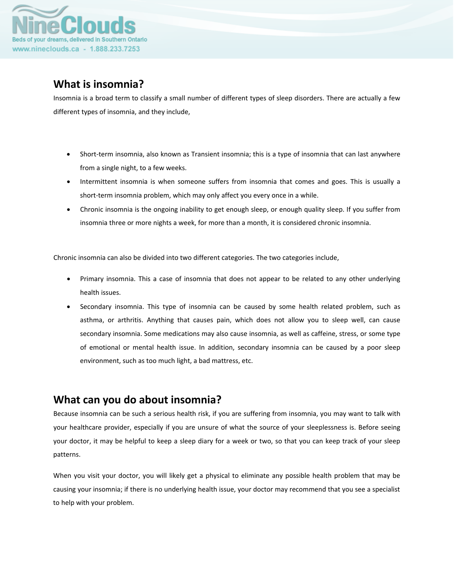

## **What is insomnia?**

Insomnia is a broad term to classify a small number of different types of sleep disorders. There are actually a few different types of insomnia, and they include,

- Short-term insomnia, also known as Transient insomnia; this is a type of insomnia that can last anywhere from a single night, to a few weeks.
- Intermittent insomnia is when someone suffers from insomnia that comes and goes. This is usually a short-term insomnia problem, which may only affect you every once in a while.
- Chronic insomnia is the ongoing inability to get enough sleep, or enough quality sleep. If you suffer from insomnia three or more nights a week, for more than a month, it is considered chronic insomnia.

Chronic insomnia can also be divided into two different categories. The two categories include,

- Primary insomnia. This a case of insomnia that does not appear to be related to any other underlying health issues.
- Secondary insomnia. This type of insomnia can be caused by some health related problem, such as asthma, or arthritis. Anything that causes pain, which does not allow you to sleep well, can cause secondary insomnia. Some medications may also cause insomnia, as well as caffeine, stress, or some type of emotional or mental health issue. In addition, secondary insomnia can be caused by a poor sleep environment, such as too much light, a bad mattress, etc.

#### **What can you do about insomnia?**

Because insomnia can be such a serious health risk, if you are suffering from insomnia, you may want to talk with your healthcare provider, especially if you are unsure of what the source of your sleeplessness is. Before seeing your doctor, it may be helpful to keep a sleep diary for a week or two, so that you can keep track of your sleep patterns.

When you visit your doctor, you will likely get a physical to eliminate any possible health problem that may be causing your insomnia; if there is no underlying health issue, your doctor may recommend that you see a specialist to help with your problem.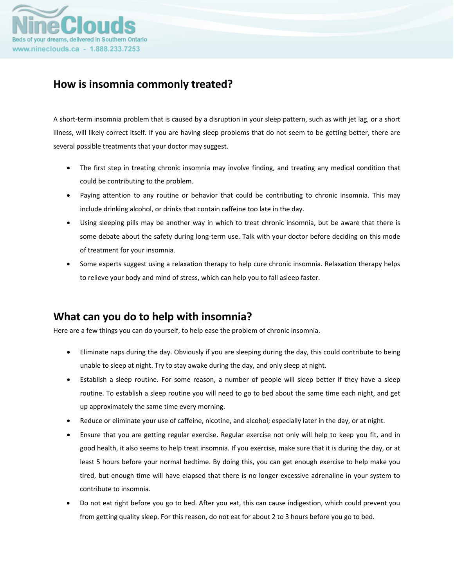

### **How is insomnia commonly treated?**

A short-term insomnia problem that is caused by a disruption in your sleep pattern, such as with jet lag, or a short illness, will likely correct itself. If you are having sleep problems that do not seem to be getting better, there are several possible treatments that your doctor may suggest.

- The first step in treating chronic insomnia may involve finding, and treating any medical condition that could be contributing to the problem.
- Paying attention to any routine or behavior that could be contributing to chronic insomnia. This may include drinking alcohol, or drinks that contain caffeine too late in the day.
- Using sleeping pills may be another way in which to treat chronic insomnia, but be aware that there is some debate about the safety during long-term use. Talk with your doctor before deciding on this mode of treatment for your insomnia.
- Some experts suggest using a relaxation therapy to help cure chronic insomnia. Relaxation therapy helps to relieve your body and mind of stress, which can help you to fall asleep faster.

#### **What can you do to help with insomnia?**

Here are a few things you can do yourself, to help ease the problem of chronic insomnia.

- Eliminate naps during the day. Obviously if you are sleeping during the day, this could contribute to being unable to sleep at night. Try to stay awake during the day, and only sleep at night.
- Establish a sleep routine. For some reason, a number of people will sleep better if they have a sleep routine. To establish a sleep routine you will need to go to bed about the same time each night, and get up approximately the same time every morning.
- Reduce or eliminate your use of caffeine, nicotine, and alcohol; especially later in the day, or at night.
- Ensure that you are getting regular exercise. Regular exercise not only will help to keep you fit, and in good health, it also seems to help treat insomnia. If you exercise, make sure that it is during the day, or at least 5 hours before your normal bedtime. By doing this, you can get enough exercise to help make you tired, but enough time will have elapsed that there is no longer excessive adrenaline in your system to contribute to insomnia.
- Do not eat right before you go to bed. After you eat, this can cause indigestion, which could prevent you from getting quality sleep. For this reason, do not eat for about 2 to 3 hours before you go to bed.